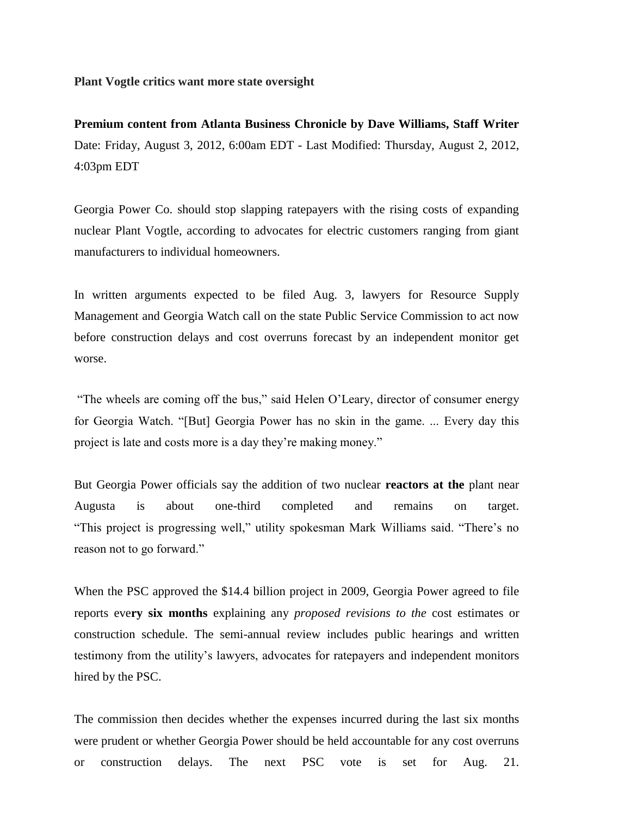**Plant Vogtle critics want more state oversight**

**Premium content from Atlanta Business Chronicle by Dave Williams, Staff Writer** Date: Friday, August 3, 2012, 6:00am EDT - Last Modified: Thursday, August 2, 2012, 4:03pm EDT

Georgia Power Co. should stop slapping ratepayers with the rising costs of expanding nuclear Plant Vogtle, according to advocates for electric customers ranging from giant manufacturers to individual homeowners.

In written arguments expected to be filed Aug. 3, lawyers for Resource Supply Management and Georgia Watch call on the state Public Service Commission to act now before construction delays and cost overruns forecast by an independent monitor get worse.

"The wheels are coming off the bus," said Helen O'Leary, director of consumer energy for Georgia Watch. "[But] Georgia Power has no skin in the game. ... Every day this project is late and costs more is a day they're making money."

But Georgia Power officials say the addition of two nuclear **reactors at the** plant near Augusta is about one-third completed and remains on target. "This project is progressing well," utility spokesman Mark Williams said. "There's no reason not to go forward."

When the PSC approved the \$14.4 billion project in 2009, Georgia Power agreed to file reports eve**ry six months** explaining any *proposed revisions to the* cost estimates or construction schedule. The semi-annual review includes public hearings and written testimony from the utility's lawyers, advocates for ratepayers and independent monitors hired by the PSC.

The commission then decides whether the expenses incurred during the last six months were prudent or whether Georgia Power should be held accountable for any cost overruns or construction delays. The next PSC vote is set for Aug. 21.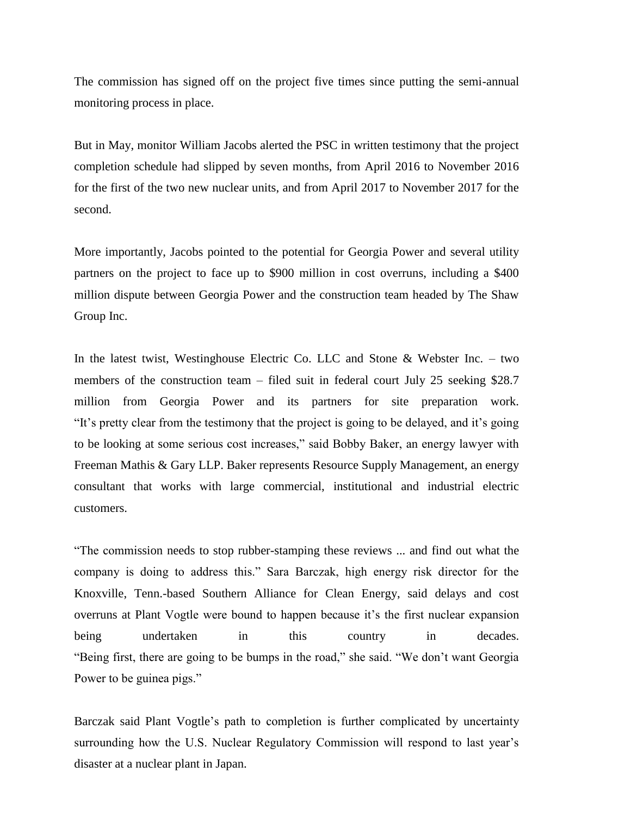The commission has signed off on the project five times since putting the semi-annual monitoring process in place.

But in May, monitor William Jacobs alerted the PSC in written testimony that the project completion schedule had slipped by seven months, from April 2016 to November 2016 for the first of the two new nuclear units, and from April 2017 to November 2017 for the second.

More importantly, Jacobs pointed to the potential for Georgia Power and several utility partners on the project to face up to \$900 million in cost overruns, including a \$400 million dispute between Georgia Power and the construction team headed by The Shaw Group Inc.

In the latest twist, Westinghouse Electric Co. LLC and Stone & Webster Inc. – two members of the construction team – filed suit in federal court July 25 seeking \$28.7 million from Georgia Power and its partners for site preparation work. "It's pretty clear from the testimony that the project is going to be delayed, and it's going to be looking at some serious cost increases," said Bobby Baker, an energy lawyer with Freeman Mathis & Gary LLP. Baker represents Resource Supply Management, an energy consultant that works with large commercial, institutional and industrial electric customers.

"The commission needs to stop rubber-stamping these reviews ... and find out what the company is doing to address this." Sara Barczak, high energy risk director for the Knoxville, Tenn.-based Southern Alliance for Clean Energy, said delays and cost overruns at Plant Vogtle were bound to happen because it's the first nuclear expansion being undertaken in this country in decades. "Being first, there are going to be bumps in the road," she said. "We don't want Georgia Power to be guinea pigs."

Barczak said Plant Vogtle's path to completion is further complicated by uncertainty surrounding how the U.S. Nuclear Regulatory Commission will respond to last year's disaster at a nuclear plant in Japan.